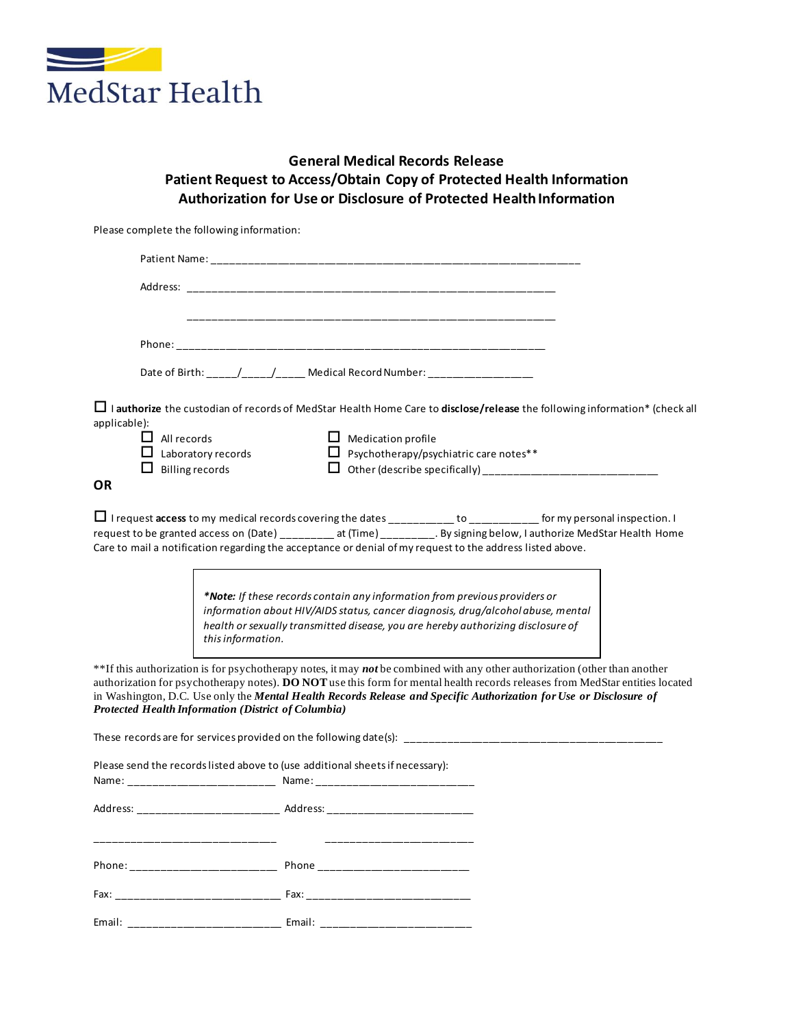

## **General Medical Records Release Patient Request to Access/Obtain Copy of Protected Health Information Authorization for Use or Disclosure of Protected Health Information**

Please complete the following information:

|                                                                                                                                                                                                                                | Date of Birth: ____/____/____ Medical Record Number: ________________                                                                                                                                                                                                                                                                                                              |
|--------------------------------------------------------------------------------------------------------------------------------------------------------------------------------------------------------------------------------|------------------------------------------------------------------------------------------------------------------------------------------------------------------------------------------------------------------------------------------------------------------------------------------------------------------------------------------------------------------------------------|
|                                                                                                                                                                                                                                | $\Box$ I authorize the custodian of records of MedStar Health Home Care to disclose/release the following information* (check all                                                                                                                                                                                                                                                  |
| applicable):<br>$\Box$ All records                                                                                                                                                                                             | $\Box$ Medication profile                                                                                                                                                                                                                                                                                                                                                          |
| $\Box$ Laboratory records                                                                                                                                                                                                      | $\Box$ Psychotherapy/psychiatric care notes**                                                                                                                                                                                                                                                                                                                                      |
| $\Box$ Billing records                                                                                                                                                                                                         |                                                                                                                                                                                                                                                                                                                                                                                    |
| <b>OR</b>                                                                                                                                                                                                                      |                                                                                                                                                                                                                                                                                                                                                                                    |
|                                                                                                                                                                                                                                | $\Box$ I request access to my medical records covering the dates __________ to _________ for my personal inspection. I<br>request to be granted access on (Date) ________ at (Time) _________. By signing below, I authorize MedStar Health Home<br>Care to mail a notification regarding the acceptance or denial of my request to the address listed above.                      |
| this information.                                                                                                                                                                                                              | *Note: If these records contain any information from previous providers or<br>information about HIV/AIDS status, cancer diagnosis, drug/alcoholabuse, mental<br>health or sexually transmitted disease, you are hereby authorizing disclosure of                                                                                                                                   |
| Protected Health Information (District of Columbia)                                                                                                                                                                            | **If this authorization is for psychotherapy notes, it may not be combined with any other authorization (other than another<br>authorization for psychotherapy notes). DO NOT use this form for mental health records releases from MedStar entities located<br>in Washington, D.C. Use only the Mental Health Records Release and Specific Authorization for Use or Disclosure of |
|                                                                                                                                                                                                                                |                                                                                                                                                                                                                                                                                                                                                                                    |
| Please send the records listed above to (use additional sheets if necessary):                                                                                                                                                  |                                                                                                                                                                                                                                                                                                                                                                                    |
|                                                                                                                                                                                                                                | Address: _______________________________ Address: ______________________________                                                                                                                                                                                                                                                                                                   |
|                                                                                                                                                                                                                                |                                                                                                                                                                                                                                                                                                                                                                                    |
| Phone: the contract of the contract of the contract of the contract of the contract of the contract of the contract of the contract of the contract of the contract of the contract of the contract of the contract of the con | <b>Phone Contract Phone</b>                                                                                                                                                                                                                                                                                                                                                        |
| Fax: The contract of the contract of the contract of the contract of the contract of the contract of the contract of the contract of the contract of the contract of the contract of the contract of the contract of the contr | Fax: ________________________                                                                                                                                                                                                                                                                                                                                                      |
| Email:                                                                                                                                                                                                                         | Email:                                                                                                                                                                                                                                                                                                                                                                             |